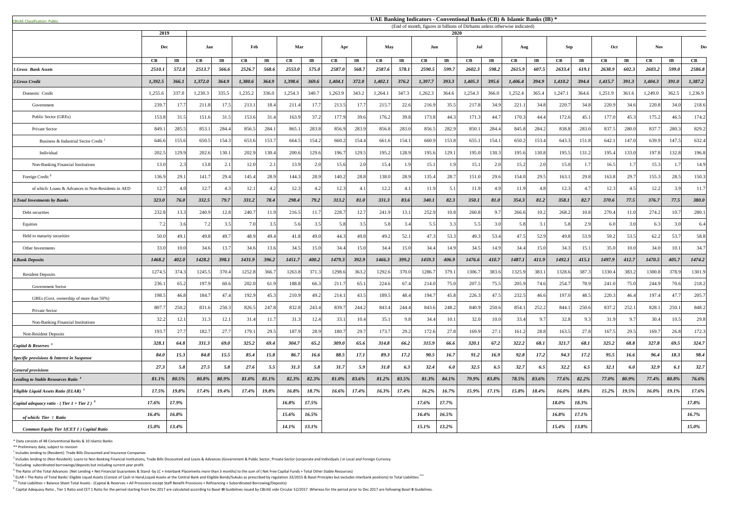<sup>5</sup> ELAR = The Ratio of Total Banks' Eligible Liquid Assets (Consist of Cash in Hand,Liquid Assets at the Central Bank and Eligible Bonds/Sukuks as prescribed by regulation 33/2015 & Basel Principles but excludes interbank **\*\*\*** Total Liabilities = Balance Sheet Total Assets - (Capital & Reserves + All Provisions except Staff Benefit Provisions + Refinancing + Subordinated Borrowing/Deposits)

<sup>6</sup> Capital Adequacy Ratio, Tier 1 Ratio and CET 1 Ratio for the period starting from Dec 2017 are calculated according to Basel III Guidelines issued by CBUAE vide Circular 52/2017. Whereas for the period prior to Dec 201

| <b>CBUAE Classification: Public.</b>               |             |                       |         |                       |         |                       |               |                       |          |                         |         |                         |               |                        | UAE Banking Indicators - Conventional Banks (CB) & Islamic Banks (IB) *           |                        |            |                       |               |                       |                      |                        |          |                        |          |
|----------------------------------------------------|-------------|-----------------------|---------|-----------------------|---------|-----------------------|---------------|-----------------------|----------|-------------------------|---------|-------------------------|---------------|------------------------|-----------------------------------------------------------------------------------|------------------------|------------|-----------------------|---------------|-----------------------|----------------------|------------------------|----------|------------------------|----------|
|                                                    | 2019        |                       |         |                       |         |                       |               |                       |          |                         |         |                         |               |                        | (End of month, figures in billions of Dirhams unless otherwise indicated)<br>2020 |                        |            |                       |               |                       |                      |                        |          |                        |          |
|                                                    | Dec         |                       | Jan     |                       | Feb     |                       | Mar<br>Apr    |                       |          | May<br>Jun              |         |                         | Jul<br>Aug    |                        |                                                                                   |                        | <b>Sep</b> |                       | Oct           |                       | <b>Nov</b>           |                        | De       |                        |          |
|                                                    | CB          | $\mathbf{I}$ <b>B</b> | CB      | $\mathbf{I}$ <b>B</b> | CB      | $\mathbf{I}$ <b>B</b> | $\mathbf{CB}$ | $\mathbf{I}$ <b>B</b> | CB       | $\mathbf{I} \mathbf{B}$ | CB      | $\mathbf{I} \mathbf{B}$ | $\mathbf{CB}$ | $\mathbf{I}\mathbf{B}$ | $\mathbf{CB}$                                                                     | $\mathbf{I}\mathbf{B}$ | CB         | $\mathbf{I}$ <b>B</b> | $\mathbf{CB}$ | $\mathbf{I}$ <b>B</b> | $\mathbf C\mathbf B$ | $\mathbf{I}\mathbf{B}$ | CB       | $\mathbf{I}\mathbf{B}$ | CB       |
| 1.Gross Bank Assets                                | 2510.1      | 572.8                 | 2513.7  | 566.6                 | 2526.7  | 568.6                 | 2553.0        | 575.0                 | 2587.0   | 568.7                   | 2587.6  | 578.1                   | 2590.5        | 599.7                  | 2602.3                                                                            | 598.2                  | 2615.9     | 607.5                 | 2633.4        | 619.1                 | 2638.9               | 602.3                  | 2603.2   | 599.0                  | 2586.8   |
| 2.Gross Credit                                     | 1,392.5     | 366.1                 | 1,372.0 | 364.9                 | 1,380.6 | 364.9                 | 1,398.6       | 369.6                 | 1,404.1  | 372.0                   | 1,402.1 | 376.2                   | 1,397.7       | 393.3                  | 1,405.3                                                                           | 395.6                  | 1,406.4    | 394.9                 | 1,410.2       | 394.4                 | 1,415.7              | 391.3                  | 1,404.3  | 391.0                  | 1,387.2  |
| Domestic Credit                                    | 1,255.6     | 337.0                 | 1,230.3 | 335.5                 | 1,235.2 | 336.0                 | 1,254.3       | 340.7                 | 1,263.9  | 343.2                   | 1,264.1 | 347.3                   | 1,262.3       | 364.6                  | 1,254.3                                                                           | 366.0                  | 1,252.4    | 365.4                 | 1,247.1       | 364.6                 | 1,251.9              | 361.6                  | 1,249.0  | 362.5                  | 1,236.9  |
| Government                                         | 239.7       | 17.7                  | 211.8   | 17.5                  | 213.1   | 18.4                  | 211.4         | 17.7                  | 213.5    | 17.7                    | 215.7   | 22.6                    | 216.9         | 35.5                   | 217.8                                                                             | 34.9                   | 221.       | 34.8                  | 220.7         | 34.8                  | 220.9                | 34.6                   | 220.8    | 34.0                   | 218.6    |
| Public Sector (GREs)                               | 153.8       | 31.5                  | 151.6   | 31.5                  | 153.6   | 31.4                  | 163.9         | 37.2                  | 177.9    | 39.6                    | 176.2   | 39.8                    | 173.8         | 44.3                   | 171.3                                                                             | 44.7                   | 170.3      | 44.4                  | 172.6         | 45.1                  | 177.0                | 45.3                   | 175.2    | 46.5                   | 174.2    |
| Private Sector                                     | 849.        | 285.5                 | 853.1   | 284.4                 | 856.5   | 284.1                 | 865.1         | 283.8                 | 856.9    | 283.9                   | 856.8   | 283.0                   | 856.5         | 282.9                  | 850.                                                                              | 284.4                  | 845.8      | 284.2                 | 838.8         | 283.0                 | 837.5                | 280.0                  | 837.7    | 280.3                  | 829.2    |
| Business & Industrial Sector Credit                | 646.6       | 155.6                 | 650.5   | 154.3                 | 653.6   | 153.                  | 664.5         | 154.2                 | 660.2    | 154.4                   | 661.6   | 154.1                   | 660.9         | 153.8                  | 655.                                                                              | 154.1                  | 650.2      | 153.4                 | 643.3         | 151.8                 | 642.                 | 147.0                  | 639.9    | 147.5                  | 632.4    |
| Individual                                         | 202.3       | 129.9                 | 202.6   | 130.1                 | 202.9   | 130.4                 | 200.6         | 129.6                 | 196.7    | 129.5                   | 195.2   | 128.9                   | 195.6         | 129.1                  | 195.0                                                                             | 130.3                  | 195.6      | 130.8                 | 195.5         | 131.2                 | 195.4                | 133.0                  | 197.8    | 132.8                  | 196.8    |
| Non-Banking Financial Institutions                 | 13.0        |                       | 13.8    | 2.1                   | 12.0    |                       | 13.9          | 2.0                   | 15.6     | 2.0                     | 15.4    |                         | 15.1          | 1.9                    | 15.1                                                                              | 2.0                    | 15.2       | 2.0                   | 15.0          |                       | 16.5                 |                        | 15.3     | 1.7                    | 14.9     |
| Foreign Credit <sup>2</sup>                        | 136.9       | 29.1                  | 141.7   | 29.4                  | 145.4   | 28.9                  | 144.3         | 28.9                  | 140.2    | 28.8                    | 138.0   | 28.9                    | 135.4         | 28.7                   | 151.0                                                                             | 29.6                   | 154.0      | 29.5                  | 163.1         | 29.8                  | 163.8                | 29.7                   | 155.3    | 28.5                   | 150.3    |
| of which: Loans & Advances to Non-Residents in AED | 12.7        | 4.0                   | 12.7    | 4.3                   | 12.1    | 4.2                   | 12.3          | $\Delta$ 2            | 12.3     | 4.1                     | 12.2    | 4.1                     | 11.9          | 5.1                    | 11.9                                                                              | 4.9                    | 11.9       | 4.8                   | 12.3          |                       | 12.3                 | 4.5                    | 12.2     | 3.9                    | 11.7     |
| <b>3. Total Investments by Banks</b>               | 323.0       | 76.0                  | 332.5   | 79.7                  | 331.2   | 78.4                  | 298.4         | 79.2                  | 313.2    | 81.0                    | 331.3   | 83.6                    | 340.1         | 82.3                   | 350.1                                                                             | 81.0                   | 354.3      | 81.2                  | 358.1         | 82.7                  | 370.6                | 77.5                   | 376.7    | 77.5                   | 380.0    |
| Debt securities                                    | 232.8       | 13.3                  | 240.9   | 12.8                  | 240.    | 11.9                  | 216.5         | 11.7                  | 228.7    | 12.7                    | 241.9   | 13.1                    | 252.9         | 10.8                   | 260.8                                                                             | 9.7                    | 266.6      | 0.2                   | 268.2         | 10.8                  | 270.4                | 11.0                   | 274.2    | 10.7                   | 280.1    |
| Equities                                           | 7.2         |                       |         | 3.5                   |         | 35                    | 5.6           | 3.5                   | 5.8      | 3.5                     | 5.8     |                         | 5.5           | 3.3 <sub>1</sub>       | 5.5                                                                               | 3.0                    | 5.8        |                       | 5.8           |                       | 6.0                  |                        |          | 3.0                    | 6.4      |
| Held to maturity securities                        | 50.0        | 49.1                  | 49.8    | 49.7                  | 48.9    | 49.4                  | 41.8          | 49.0                  | 44.3     | 49.8                    | 49.2    | 52.                     | 47.3          | 53.3                   | 49.                                                                               | 53.4                   | 47.5       | 52.9                  | 49.8          | 53.9                  | 59.2                 | 53.5                   | 62.2     | 53.7                   | 58.8     |
| Other Investments                                  | 33.0        | 10.0                  | 34.6    | 13.7                  | 34.6    | 13.6                  | 34.5          | 15.0                  | 34.4     | 15.0                    | 34.4    | 15.0                    | 34.4          | 14.9                   | 34.5                                                                              | 14.9                   | 34.4       | 15.0                  | 34.3          | 15.                   | 35.0                 | 10.0                   | 34.0     | 10.1                   | 34.7     |
| <b>4.Bank Deposits</b>                             | 1468.2      | 402.0                 | 1428.2  | 398.1                 | 1431.9  | 396.2                 | 1451.7        | 400.2                 | 1479.3   | 392.9                   | 1466.3  | 399.2                   | 1459.3        | 406.9                  | 1476.6                                                                            | 410.7                  | 1487.1     | 411.9                 | 1492.1        | 415.1                 | 1497.9               | 412.7                  | 1470.5   | 405.7                  | 1474.2   |
| <b>Resident Deposits</b>                           | 1274.5      | 374.3                 | 1245.5  | 370.4                 | 1252.8  | 366.                  | 1263.8        | 371.3                 | 1298.6   | 363.2                   | 1292.6  | 370.0                   | 1286.         | 379.                   | 1306.                                                                             | 383.6                  | 1325.9     | 383.                  | 1328.6        | 387.                  | 1330.4               | 383.2                  | 1300.8   | 378.9                  | 1301.9   |
| <b>Government Sector</b>                           | 236.        | 65.2                  | 197.9   | 60.6                  | 202.0   | 61.9                  | 188.8         | 66.3                  | 211.7    | 65.1                    | 224.6   | 67.4                    | 214.0         | 75.0                   | 207.5                                                                             | 75.5                   | 205.9      | 74.6                  | 254.7         | 78.9                  | 241.0                | 75.0                   | 244.9    | 70.6                   | 218.2    |
| GREs (Govt. ownership of more than 50%)            | 198.5       | 46.8                  | 184.7   | 47.4                  | 192.9   | 45.3                  | 210.9         | 49.2                  | 214.1    | 43.5                    | 189.5   | 48.4                    | 194.7         | 45.8                   | 226.3                                                                             | 47.5                   | 232.5      | 46.6                  | 197.0         | 48.5                  | 220.3                | 46.4                   | 197.4    | 47.7                   | 205.7    |
| Private Sector                                     | 807.        | 250.2                 | 831.6   | 250.3                 | 826.    | 247.8                 | 832.8         | 243.4                 | 839.7    | 244.2                   | 843.4   | 244.4                   | 843.6         | 248.2                  | 840.9                                                                             | 250.6                  | 854.1      | 252.2                 | 844.          | 250.6                 | 837.2                | 252.                   | 828.1    | 250.1                  | 848.2    |
| <b>Non-Banking Financial Institutions</b>          | 32.2        | 12.1                  | 31.3    | 12.1                  | 31.     |                       | 31.3          | 12.4                  | 33.1     | 10.4                    | 35.1    | 9.8                     | 34.4          | 10.1                   | 32.0                                                                              | 10.0                   | 33.4       | 9.7                   | 32.8          |                       | 31.9                 | 9.7                    | 30.4     | 10.5                   | 29.8     |
| <b>Non-Resident Deposits</b>                       | 193.        | 27.7                  | 182.7   | 27.7                  | 179.    | 29.5                  | 187.9         | 28.9                  | 180.7    | 29.                     | 173.7   | 29.2                    | 172.6         | 27.8                   | 169.9                                                                             | 27.1                   | 161.2      | 28.8                  | 163.5         | 27.8                  | 167.5                | 29.5                   | 169.7    | 26.8                   | 172.3    |
| Capital & Reserves                                 | 328.1       | 64.8                  | 331.3   | 69.0                  | 325.2   | 69.4                  | 304.7         | 65.2                  | 309.0    | 65.6                    | 314.8   | 66.2                    | 315.9         | 66.6                   | 320.1                                                                             | 67.2                   | 322.2      | 68.1                  | 321.7         | 68.1                  | 325.2                | 68.8                   | 327.8    | 69.5                   | 324.7    |
| Specific provisions & Interest in Suspense         | <b>84.0</b> | 15.3                  | 84.8    | 15.5                  | 85.4    | 15.8                  | 86.7          | 16.6                  | 88.5     | 17.1                    | 89.3    | 17.2                    | 90.5          | 16.7                   | 91.2                                                                              | 16.9                   | 92.8       | 17.2                  | 94.3          | 17.2                  | 95.5                 | 16.6                   | 96.4     | 18.3                   | 98.4     |
| <b>General provisions</b>                          | 27.3        | 5.8                   | 27.5    | 5.8                   | 27.6    | 5.5                   | 31.3          | 5.8                   | 31.7     | 5.9                     | 31.8    | 6.3                     | 32.4          | 6.0                    | 32.5                                                                              | 6.5                    | 32.7       | 6.5                   | 32.2          | 6.5                   | 32.1                 | 6.0                    | 32.9     | 6.1                    | 32.7     |
| <b>Lending to Stable Resources Ratio</b>           | 81.1%       | 80.5%                 | 80.8%   | 80.9%                 | 81.0%   | 81.1%                 | 82.3%         | 82.3%                 | 81.0%    | 83.6%                   | 81.2%   | 83.5%                   | 81.3%         | 84.1%                  | 79.9%                                                                             | 83.8%                  | 78.5%      | 83.6%                 | 77.6%         | 82.2%                 | 77.0%                | 80.9%                  | 77.4%    | 80.8%                  | 76.6%    |
| <i>Eligible Liquid Assets Ratio (ELAR)</i> $5$     | 17.5%       | 19.8%                 | 17.4%   | $19.4\%$              | 17.4%   | 19.8%                 | 16.8%         | 18.7%                 | $16.6\%$ | 17.4%                   | 16.3%   | 17.4%                   | $16.2\%$      | $16.7\%$               | 15.9%                                                                             | 17.1%                  | 15.8%      | 18.4%                 | 16.0%         | 18.8%                 | 15.2%                | 19.5%                  | $16.0\%$ | 19.1%                  | 17.6%    |
| Capital adequacy ratio - (Tier 1 + Tier 2) $^6$    | 17.6%       | 17.9%                 |         |                       |         |                       | 16.8%         | 17.5%                 |          |                         |         |                         | 17.6%         | 17.7%                  |                                                                                   |                        |            |                       | 18.0%         | 18.3%                 |                      |                        |          |                        | 17.8%    |
| of which: Tier 1 Ratio                             | $16.4\%$    | 16.8%                 |         |                       |         |                       | 15.6%         | 16.5%                 |          |                         |         |                         | $16.4\%$      | 16.5%                  |                                                                                   |                        |            |                       | 16.8%         | $17.1\%$              |                      |                        |          |                        | 16.7%    |
| Common Equity Tier 1(CET 1) Capital Ratio          | $15.0\%$    | 13.4%                 |         |                       |         |                       | 14.1%         | 13.1%                 |          |                         |         |                         | $15.1\%$      | 13.2%                  |                                                                                   |                        |            |                       | 15.4%         | 13.8%                 |                      |                        |          |                        | $15.0\%$ |

\* Data consists of 48 Conventional Banks & 10 Islamic Banks

\*\* Preliminary data, subject to revision

 $<sup>1</sup>$  Includes lending to (Resident): Trade Bills Discounted and Insurance Companies</sup>

 $^2$  Includes lending to (Non Resident): Loans to Non Banking Financial Institutions, Trade Bills Discounted and Loans & Advances (Government & Public Sector, Private Sector (corporate and Individuals) in Local and Foreig

 $3$  Excluding subordinated borrowings/deposits but including current year profit.

 $^4$  The Ratio of the Total Advances (Net Lending + Net Financial Guarantees & Stand -by LC + Interbank Placements more than 3 months) to the sum of (Net Free Capital Funds + Total Other Stable Resources)